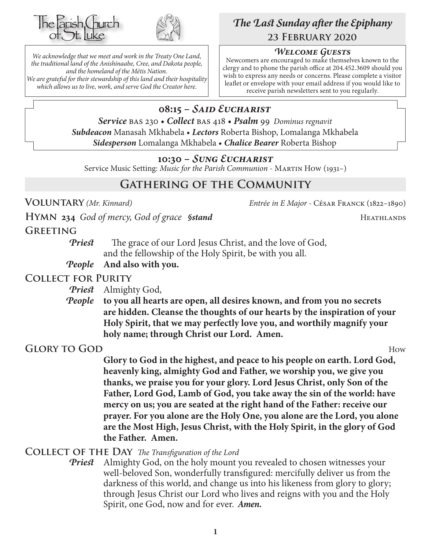



*We acknowledge that we meet and work in the Treaty One Land, the traditional land of the Anishinaabe, Cree, and Dakota people, and the homeland of the Métis Nation. We are grateful for their stewardship of this land and their hospitality which allows us to live, work, and serve God the Creator here.*

# *The Last Sunday after the Epiphany* **23 February 2020**

#### *Welcome Guests*

Newcomers are encouraged to make themselves known to the clergy and to phone the parish office at 204.452.3609 should you wish to express any needs or concerns. Please complete a visitor leaflet or envelope with your email address if you would like to receive parish newsletters sent to you regularly.

# **08:15 –** *Said Eucharist*

*Service* bas 230 • *Collect* bas 418 • *Psalm* 99 *Dominus regnavit Subdeacon* Manasah Mkhabela • *Lectors* Roberta Bishop, Lomalanga Mkhabela *Sidesperson* Lomalanga Mkhabela • *Chalice Bearer* Roberta Bishop

#### **10:30 –** *Sung Eucharist*

Service Music Setting: *Music for the Parish Communion* - MARTIN How (1931–)

# **Gathering of the Community**

**Voluntary** *(Mr. Kinnard) Entrée in E Major -* César Franck (1822–1890)

**HYMN** 234 *God of mercy, God of grace §stand* HEATHLANDS

#### **Greeting**

*Priest* The grace of our Lord Jesus Christ, and the love of God, and the fellowship of the Holy Spirit, be with you all.

#### *People* **And also with you.**

#### **Collect for Purity**

- *Priest* Almighty God,
- *People* **to you all hearts are open, all desires known, and from you no secrets are hidden. Cleanse the thoughts of our hearts by the inspiration of your Holy Spirit, that we may perfectly love you, and worthily magnify your holy name; through Christ our Lord. Amen.**

**Glory to God** How

**Glory to God in the highest, and peace to his people on earth. Lord God, heavenly king, almighty God and Father, we worship you, we give you thanks, we praise you for your glory. Lord Jesus Christ, only Son of the Father, Lord God, Lamb of God, you take away the sin of the world: have mercy on us; you are seated at the right hand of the Father: receive our prayer. For you alone are the Holy One, you alone are the Lord, you alone are the Most High, Jesus Christ, with the Holy Spirit, in the glory of God the Father. Amen.**

**Collect of the Day** *The Transfiguration of the Lord*

*Priest* Almighty God, on the holy mount you revealed to chosen witnesses your well-beloved Son, wonderfully transfigured: mercifully deliver us from the darkness of this world, and change us into his likeness from glory to glory; through Jesus Christ our Lord who lives and reigns with you and the Holy Spirit, one God, now and for ever.*Amen.*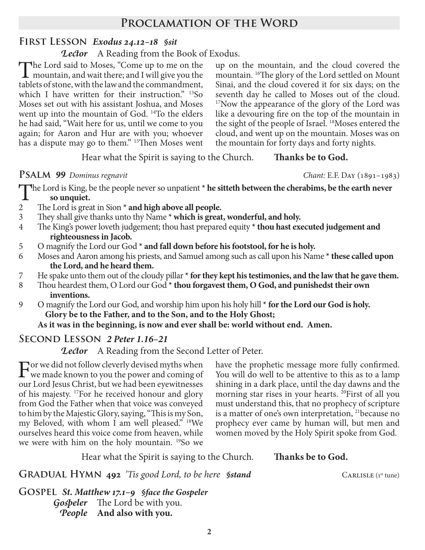# **Proclamation of the Word**

#### **First Lesson** *Exodus 24.12–18 §sit*

*Lector* A Reading from the Book of Exodus.

The Lord said to Moses, "Come up to me on the<br>mountain, and wait there; and I will give you the<br>tablets of stane, with the layers of the commandment tablets of stone, with the law and the commandment, which I have written for their instruction." <sup>13</sup>So Moses set out with his assistant Joshua, and Moses went up into the mountain of God. 14To the elders he had said, "Wait here for us, until we come to you again; for Aaron and Hur are with you; whoever has a dispute may go to them." <sup>15</sup>Then Moses went

up on the mountain, and the cloud covered the mountain. 16The glory of the Lord settled on Mount Sinai, and the cloud covered it for six days; on the seventh day he called to Moses out of the cloud. <sup>17</sup>Now the appearance of the glory of the Lord was like a devouring fire on the top of the mountain in the sight of the people of Israel. 18Moses entered the cloud, and went up on the mountain. Moses was on the mountain for forty days and forty nights.

Hear what the Spirit is saying to the Church. **Thanks be to God.**

#### **Psalm** *99 Dominus regnavit Chant:* E.F. Day (1891–1983)

The Lord is King, be the people never so unpatient \* **he sitteth between the cherabims, be the earth never** so **unquiet.**<br>2 The Lord is great in Sion \* **and high above all people. so unquiet.**

- 2 The Lord is great in Sion **\* and high above all people.**
- 3 They shall give thanks unto thy Name  $*$  which is great, wonderful, and holy.<br>4 The King's power loveth judgement: thou hast prepared equity  $*$  thou hast exer-
- The King's power loveth judgement; thou hast prepared equity \* thou hast executed judgement and **righteousness in Jacob.**
- 5 O magnify the Lord our God **\* and fall down before his footstool, for he is holy.**
- 6 Moses and Aaron among his priests, and Samuel among such as call upon his Name **\* these called upon the Lord, and he heard them.**
- 7 He spake unto them out of the cloudy pillar **\* for they kept his testimonies, and the law that he gave them.**
- 8 Thou heardest them, O Lord our God **\* thou forgavest them, O God, and punishedst their own inventions.**
- 9 O magnify the Lord our God, and worship him upon his holy hill **\* for the Lord our God is holy. Glory be to the Father, and to the Son, and to the Holy Ghost;**

**As it was in the beginning, is now and ever shall be: world without end. Amen.**

#### **Second Lesson** *2 Peter 1.16–21*

*Lector* A Reading from the Second Letter of Peter.

For we did not follow cleverly devised myths when<br>we made known to you the power and coming of<br>and leave Christ, but we hed heap exercit access our Lord Jesus Christ, but we had been eyewitnesses of his majesty. 17For he received honour and glory from God the Father when that voice was conveyed to him by the Majestic Glory, saying, "This is my Son, my Beloved, with whom I am well pleased." 18We ourselves heard this voice come from heaven, while we were with him on the holy mountain. 19So we

have the prophetic message more fully confirmed. You will do well to be attentive to this as to a lamp shining in a dark place, until the day dawns and the morning star rises in your hearts. 20First of all you must understand this, that no prophecy of scripture is a matter of one's own interpretation, <sup>21</sup>because no prophecy ever came by human will, but men and women moved by the Holy Spirit spoke from God.

Hear what the Spirit is saying to the Church. **Thanks be to God.**

**GRADUAL HYMN 492** *'Tis good Lord, to be here Sstand* CARLISLE (1st tune)

**Gospel** *St. Matthew 17.1–9 §face the Gospeler Gospeler* The Lord be with you. *People* **And also with you.**

**2**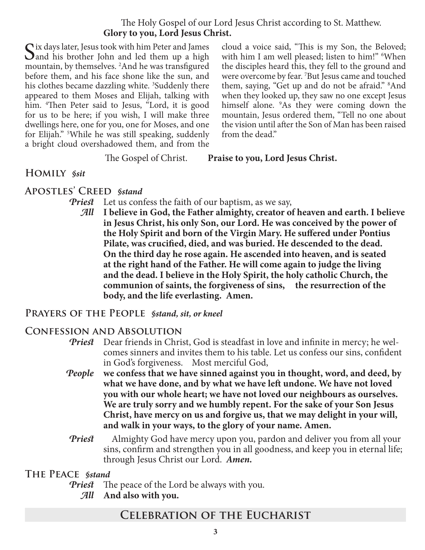#### The Holy Gospel of our Lord Jesus Christ according to St. Matthew. **Glory to you, Lord Jesus Christ.**

 $\bigcap$  ix days later, Jesus took with him Peter and James  $\mathbf{\mathcal{O}}$  and his brother John and led them up a high mountain, by themselves. 2 And he was transfigured before them, and his face shone like the sun, and his clothes became dazzling white. <sup>3</sup>Suddenly there appeared to them Moses and Elijah, talking with him. 4 Then Peter said to Jesus, "Lord, it is good for us to be here; if you wish, I will make three dwellings here, one for you, one for Moses, and one for Elijah." 5 While he was still speaking, suddenly a bright cloud overshadowed them, and from the

cloud a voice said, "This is my Son, the Beloved; with him I am well pleased; listen to him!" 6 When the disciples heard this, they fell to the ground and were overcome by fear. 7 But Jesus came and touched them, saying, "Get up and do not be afraid." <sup>8</sup>And when they looked up, they saw no one except Jesus himself alone. <sup>9</sup>As they were coming down the mountain, Jesus ordered them, "Tell no one about the vision until after the Son of Man has been raised from the dead."

The Gospel of Christ. **Praise to you, Lord Jesus Christ.**

## **Homily** *§sit*

#### **Apostles' Creed** *§stand*

*Priest* Let us confess the faith of our baptism, as we say,

*All* **I believe in God, the Father almighty, creator of heaven and earth. I believe in Jesus Christ, his only Son, our Lord. He was conceived by the power of the Holy Spirit and born of the Virgin Mary. He suffered under Pontius Pilate, was crucified, died, and was buried. He descended to the dead. On the third day he rose again. He ascended into heaven, and is seated at the right hand of the Father. He will come again to judge the living and the dead. I believe in the Holy Spirit, the holy catholic Church, the communion of saints, the forgiveness of sins, the resurrection of the body, and the life everlasting. Amen.**

#### **Prayers of the People** *§stand, sit, or kneel*

#### **Confession and Absolution**

- *Priest* Dear friends in Christ, God is steadfast in love and infinite in mercy; he welcomes sinners and invites them to his table. Let us confess our sins, confident in God's forgiveness. Most merciful God,
- *People* **we confess that we have sinned against you in thought, word, and deed, by what we have done, and by what we have left undone. We have not loved you with our whole heart; we have not loved our neighbours as ourselves. We are truly sorry and we humbly repent. For the sake of your Son Jesus Christ, have mercy on us and forgive us, that we may delight in your will, and walk in your ways, to the glory of your name. Amen.**
- *Priest* Almighty God have mercy upon you, pardon and deliver you from all your sins, confirm and strengthen you in all goodness, and keep you in eternal life; through Jesus Christ our Lord.*Amen.*

#### **The Peace** *§stand*

*Priest* The peace of the Lord be always with you.

*All* **And also with you.**

## **Celebration of the Eucharist**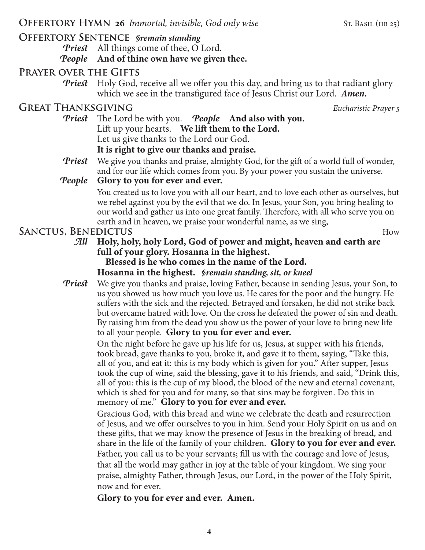#### **Offertory Sentence** *§remain standing*

*Priest* All things come of thee, O Lord.

#### *People* **And of thine own have we given thee.**

## **Prayer over the Gifts**

*Priest* Holy God, receive all we offer you this day, and bring us to that radiant glory which we see in the transfigured face of Jesus Christ our Lord. *Amen.*

## **Great Thanksgiving** *Eucharistic Prayer 5*

*Priest* The Lord be with you. *People* **And also with you.** Lift up your hearts. **We lift them to the Lord.** Let us give thanks to the Lord our God. **It is right to give our thanks and praise.**

**Priest** We give you thanks and praise, almighty God, for the gift of a world full of wonder, and for our life which comes from you. By your power you sustain the universe.

## *People* **Glory to you for ever and ever.**

You created us to love you with all our heart, and to love each other as ourselves, but we rebel against you by the evil that we do. In Jesus, your Son, you bring healing to our world and gather us into one great family. Therefore, with all who serve you on earth and in heaven, we praise your wonderful name, as we sing,

## **SANCTUS, BENEDICTUS** How

*All* **Holy, holy, holy Lord, God of power and might, heaven and earth are full of your glory. Hosanna in the highest.**

## **Blessed is he who comes in the name of the Lord.**

#### **Hosanna in the highest.** *§remain standing, sit, or kneel*

*Priest* We give you thanks and praise, loving Father, because in sending Jesus, your Son, to us you showed us how much you love us. He cares for the poor and the hungry. He suffers with the sick and the rejected. Betrayed and forsaken, he did not strike back but overcame hatred with love. On the cross he defeated the power of sin and death. By raising him from the dead you show us the power of your love to bring new life to all your people. **Glory to you for ever and ever.**

On the night before he gave up his life for us, Jesus, at supper with his friends, took bread, gave thanks to you, broke it, and gave it to them, saying, "Take this, all of you, and eat it: this is my body which is given for you." After supper, Jesus took the cup of wine, said the blessing, gave it to his friends, and said, "Drink this, all of you: this is the cup of my blood, the blood of the new and eternal covenant, which is shed for you and for many, so that sins may be forgiven. Do this in memory of me." **Glory to you for ever and ever.**

Gracious God, with this bread and wine we celebrate the death and resurrection of Jesus, and we offer ourselves to you in him. Send your Holy Spirit on us and on these gifts, that we may know the presence of Jesus in the breaking of bread, and share in the life of the family of your children. **Glory to you for ever and ever.** Father, you call us to be your servants; fill us with the courage and love of Jesus, that all the world may gather in joy at the table of your kingdom. We sing your praise, almighty Father, through Jesus, our Lord, in the power of the Holy Spirit, now and for ever.

**Glory to you for ever and ever. Amen.**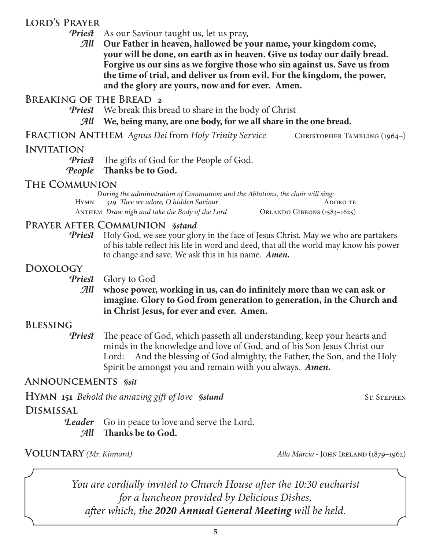## **Lord's Prayer**

*Priest* As our Saviour taught us, let us pray,

*All* **Our Father in heaven, hallowed be your name, your kingdom come, your will be done, on earth as in heaven. Give us today our daily bread. Forgive us our sins as we forgive those who sin against us. Save us from the time of trial, and deliver us from evil. For the kingdom, the power, and the glory are yours, now and for ever. Amen.**

## **Breaking of the Bread 2**

*Priest* We break this bread to share in the body of Christ

#### *All* **We, being many, are one body, for we all share in the one bread.**

**Fraction Anthem** *Agnus Dei* from *Holy Trinity Service* Christopher Tambling (1964–)

#### **Invitation**

*Priest* The gifts of God for the People of God.

*People* **Thanks be to God.**

## **The Communion**

*During the administration of Communion and the Ablutions, the choir will sing:* HYMN 329 *Thee we adore, O hidden Saviour* ADORO TE ANTHEM *Draw nigh and take the Body of the Lord* **ORLANDO GIBBONS** (1583-1625)

## **Prayer after Communion** *§stand*

*Priest* Holy God, we see your glory in the face of Jesus Christ. May we who are partakers of his table reflect his life in word and deed, that all the world may know his power to change and save. We ask this in his name. *Amen.*

## **Doxology**

*Priest* Glory to God

*All* **whose power, working in us, can do infinitely more than we can ask or imagine. Glory to God from generation to generation, in the Church and in Christ Jesus, for ever and ever. Amen.**

## **Blessing**

*Priest* The peace of God, which passeth all understanding, keep your hearts and minds in the knowledge and love of God, and of his Son Jesus Christ our Lord: And the blessing of God almighty, the Father, the Son, and the Holy Spirit be amongst you and remain with you always. *Amen.*

## **Announcements** *§sit*

**HYMN** 151 *Behold the amazing gift of love Sstand* ST. STEPHEN

#### **Dismissal**

**Leader** Go in peace to love and serve the Lord. *All* **Thanks be to God.**

**Voluntary** *(Mr. Kinnard) Alla Marcia -* John Ireland (1879–1962)

*You are cordially invited to Church House after the 10:30 eucharist for a luncheon provided by Delicious Dishes, after which, the 2020 Annual General Meeting will be held.*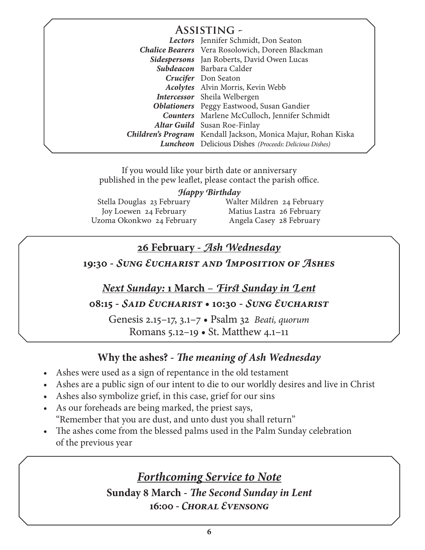# **Assisting -**

|  | Lectors Jennifer Schmidt, Don Seaton                          |  |
|--|---------------------------------------------------------------|--|
|  | <b>Chalice Bearers</b> Vera Rosolowich, Doreen Blackman       |  |
|  | Sidespersons Jan Roberts, David Owen Lucas                    |  |
|  | Subdeacon Barbara Calder                                      |  |
|  | Crucifer Don Seaton                                           |  |
|  | Acolytes Alvin Morris, Kevin Webb                             |  |
|  | Intercessor Sheila Welbergen                                  |  |
|  | <b>Oblationers</b> Peggy Eastwood, Susan Gandier              |  |
|  | <b>Counters</b> Marlene McCulloch, Jennifer Schmidt           |  |
|  | <b>Altar Guild</b> Susan Roe-Finlay                           |  |
|  | Children's Program Kendall Jackson, Monica Majur, Rohan Kiska |  |
|  | <b>Luncheon</b> Delicious Dishes (Proceeds: Delicious Dishes) |  |
|  |                                                               |  |

If you would like your birth date or anniversary published in the pew leaflet, please contact the parish office.

#### *Happy Birthday*

Stella Douglas 23 February Joy Loewen 24 February Uzoma Okonkwo 24 February Walter Mildren 24 February Matius Lastra 26 February Angela Casey 28 February

# **26 February -** *Ash Wednesday*

**19:30 -** *Sung Eucharist and Imposition of Ashes*

# *Next Sunday:* **1 March** – *First Sunday in Lent*

**08:15 -** *Said Eucharist* **• 10:30 -** *Sung Eucharist*

Genesis 2.15–17, 3.1–7 • Psalm 32 *Beati, quorum* Romans 5.12–19 • St. Matthew 4.1–11

# **Why the ashes? -** *The meaning of Ash Wednesday*

- Ashes were used as a sign of repentance in the old testament
- Ashes are a public sign of our intent to die to our worldly desires and live in Christ
- Ashes also symbolize grief, in this case, grief for our sins
- As our foreheads are being marked, the priest says, "Remember that you are dust, and unto dust you shall return"
- The ashes come from the blessed palms used in the Palm Sunday celebration of the previous year

# *Forthcoming Service to Note*

**Sunday 8 March -** *The Second Sunday in Lent* **16:00 -** *Choral Evensong*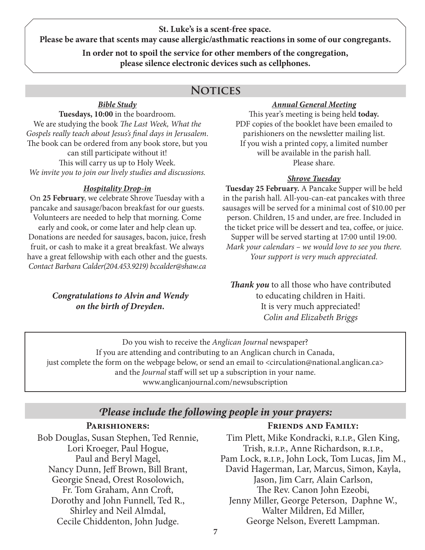**St. Luke's is a scent-free space.**

#### **Please be aware that scents may cause allergic/asthmatic reactions in some of our congregants.**

#### **In order not to spoil the service for other members of the congregation, please silence electronic devices such as cellphones.**

# **Notices**

#### *Bible Study*

**Tuesdays, 10:00** in the boardroom. We are studying the book *The Last Week, What the Gospels really teach about Jesus's final days in Jerusalem*. The book can be ordered from any book store, but you can still participate without it! This will carry us up to Holy Week. *We invite you to join our lively studies and discussions.*

#### *Hospitality Drop-in*

On **25 February**, we celebrate Shrove Tuesday with a pancake and sausage/bacon breakfast for our guests. Volunteers are needed to help that morning. Come early and cook, or come later and help clean up. Donations are needed for sausages, bacon, juice, fresh fruit, or cash to make it a great breakfast. We always have a great fellowship with each other and the guests. *Contact Barbara Calder(204.453.9219) bccalder@shaw.ca*

#### *Congratulations to Alvin and Wendy on the birth of Dreyden.*

#### *Annual General Meeting*

This year's meeting is being held **today.** PDF copies of the booklet have been emailed to parishioners on the newsletter mailing list. If you wish a printed copy, a limited number will be available in the parish hall. Please share.

#### *Shrove Tuesday*

**Tuesday 25 February.** A Pancake Supper will be held in the parish hall. All-you-can-eat pancakes with three sausages will be served for a minimal cost of \$10.00 per person. Children, 15 and under, are free. Included in the ticket price will be dessert and tea, coffee, or juice. Supper will be served starting at 17:00 until 19:00. *Mark your calendars – we would love to see you there. Your support is very much appreciated.*

*Thank you* to all those who have contributed to educating children in Haiti. It is very much appreciated! *Colin and Elizabeth Briggs*

Do you wish to receive the *Anglican Journal* newspaper? If you are attending and contributing to an Anglican church in Canada, just complete the form on the webpage below, or send an email to <circulation@national.anglican.ca> and the *Journal* staff will set up a subscription in your name. www.anglicanjournal.com/newsubscription

# *Please include the following people in your prayers:*

#### **Parishioners:**

Bob Douglas, Susan Stephen, Ted Rennie, Lori Kroeger, Paul Hogue, Paul and Beryl Magel, Nancy Dunn, Jeff Brown, Bill Brant, Georgie Snead, Orest Rosolowich, Fr. Tom Graham, Ann Croft, Dorothy and John Funnell, Ted R., Shirley and Neil Almdal, Cecile Chiddenton, John Judge.

#### **Friends and Family:**

Tim Plett, Mike Kondracki, r.i.p., Glen King, Trish, r.i.p., Anne Richardson, r.i.p., Pam Lock, R.I.P., John Lock, Tom Lucas, Jim M., David Hagerman, Lar, Marcus, Simon, Kayla, Jason, Jim Carr, Alain Carlson, The Rev. Canon John Ezeobi, Jenny Miller, George Peterson, Daphne W., Walter Mildren, Ed Miller, George Nelson, Everett Lampman.